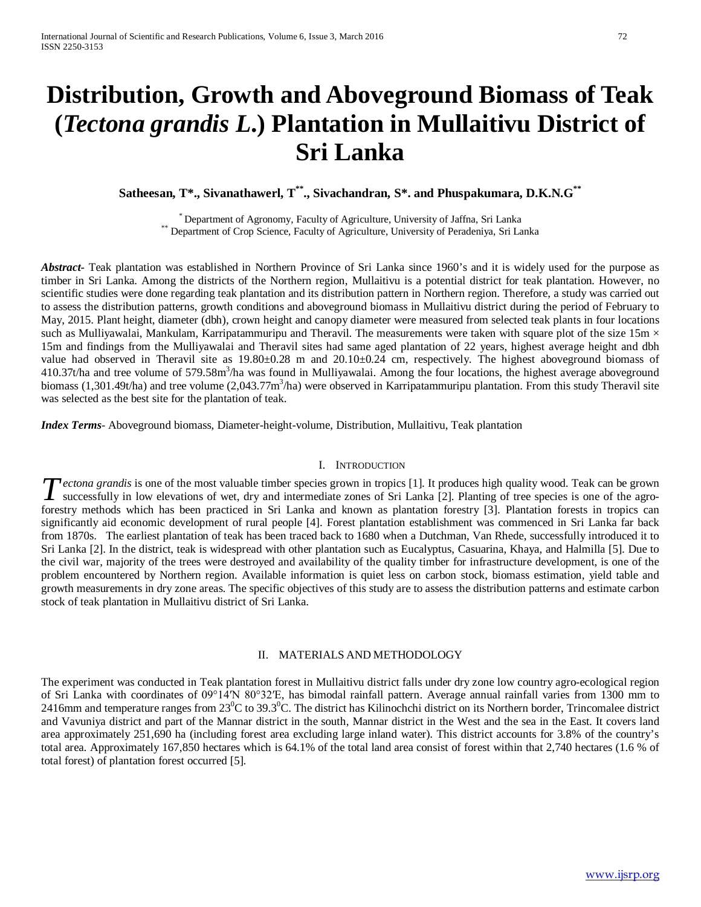# **Distribution, Growth and Aboveground Biomass of Teak (***Tectona grandis L***.) Plantation in Mullaitivu District of Sri Lanka**

**Satheesan, T\*., Sivanathawerl, T\*\*., Sivachandran, S\*. and Phuspakumara, D.K.N.G\*\***

\* Department of Agronomy, Faculty of Agriculture, University of Jaffna, Sri Lanka \*\* Department of Crop Science, Faculty of Agriculture, University of Peradeniya, Sri Lanka

*Abstract***-** Teak plantation was established in Northern Province of Sri Lanka since 1960's and it is widely used for the purpose as timber in Sri Lanka. Among the districts of the Northern region, Mullaitivu is a potential district for teak plantation*.* However, no scientific studies were done regarding teak plantation and its distribution pattern in Northern region. Therefore, a study was carried out to assess the distribution patterns, growth conditions and aboveground biomass in Mullaitivu district during the period of February to May, 2015. Plant height, diameter (dbh), crown height and canopy diameter were measured from selected teak plants in four locations such as Mulliyawalai, Mankulam, Karripatammuripu and Theravil. The measurements were taken with square plot of the size  $15m \times$ 15m and findings from the Mulliyawalai and Theravil sites had same aged plantation of 22 years, highest average height and dbh value had observed in Theravil site as 19.80±0.28 m and 20.10±0.24 cm, respectively. The highest aboveground biomass of 410.37t/ha and tree volume of 579.58m<sup>3</sup>/ha was found in Mulliyawalai. Among the four locations, the highest average aboveground biomass (1,301.49t/ha) and tree volume (2,043.77m<sup>3</sup>/ha) were observed in Karripatammuripu plantation. From this study Theravil site was selected as the best site for the plantation of teak.

*Index Terms*- Aboveground biomass, Diameter-height-volume, Distribution, Mullaitivu, Teak plantation

## I. INTRODUCTION

*ectona grandis* is one of the most valuable timber species grown in tropics [1]. It produces high quality wood. Teak can be grown **T** ectona grandis is one of the most valuable timber species grown in tropics [1]. It produces high quality wood. Teak can be grown successfully in low elevations of wet, dry and intermediate zones of Sri Lanka [2]. Plant forestry methods which has been practiced in Sri Lanka and known as plantation forestry [3]. Plantation forests in tropics can significantly aid economic development of rural people [4]. Forest plantation establishment was commenced in Sri Lanka far back from 1870s. The earliest plantation of teak has been traced back to 1680 when a Dutchman, Van Rhede, successfully introduced it to Sri Lanka [2]. In the district, teak is widespread with other plantation such as Eucalyptus, Casuarina, Khaya, and Halmilla [5]. Due to the civil war, majority of the trees were destroyed and availability of the quality timber for infrastructure development, is one of the problem encountered by Northern region. Available information is quiet less on carbon stock, biomass estimation, yield table and growth measurements in dry zone areas. The specific objectives of this study are to assess the distribution patterns and estimate carbon stock of teak plantation in Mullaitivu district of Sri Lanka.

# II. MATERIALS AND METHODOLOGY

The experiment was conducted in Teak plantation forest in Mullaitivu district falls under dry zone low country agro-ecological region of Sri Lanka with coordinates of 09°14′N 80°32′E, has bimodal rainfall pattern. Average annual rainfall varies from 1300 mm to 2416mm and temperature ranges from 23<sup>°</sup>C to 39.3<sup>°</sup>C. The district has Kilinochchi district on its Northern border, Trincomalee district and Vavuniya district and part of the Mannar district in the south, Mannar district in the West and the sea in the East. It covers land area approximately 251,690 ha (including forest area excluding large inland water). This district accounts for 3.8% of the country's total area. Approximately 167,850 hectares which is 64.1% of the total land area consist of forest within that 2,740 hectares (1.6 % of total forest) of plantation forest occurred [5].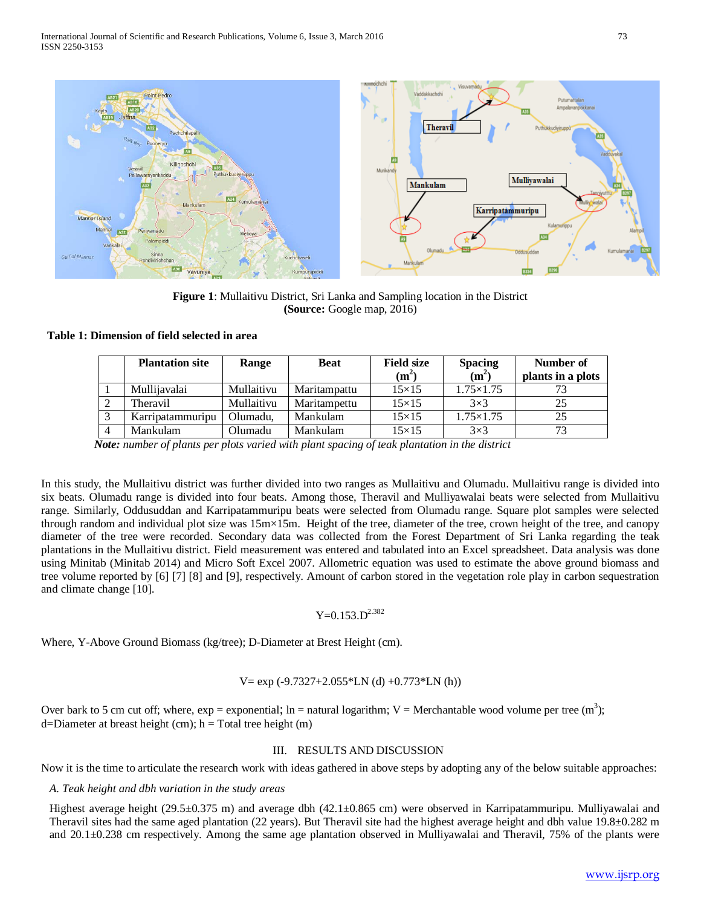

**Figure 1**: Mullaitivu District, Sri Lanka and Sampling location in the District **(Source:** Google map, 2016)

## **Table 1: Dimension of field selected in area**

|                | <b>Plantation site</b> | Range      | <b>Beat</b>  | <b>Field size</b><br>$(m^2)$ | <b>Spacing</b><br>$(m^2)$ | Number of<br>plants in a plots |
|----------------|------------------------|------------|--------------|------------------------------|---------------------------|--------------------------------|
|                | Mullijavalai           | Mullaitivu | Maritampattu | $15\times15$                 | $1.75 \times 1.75$        |                                |
| ∠              | Theravil               | Mullaitivu | Maritampettu | $15\times15$                 | $3\times3$                | 25                             |
| $\sim$         | Karripatammuripu       | Olumadu,   | Mankulam     | $15\times15$                 | $1.75 \times 1.75$        | 25                             |
| $\overline{4}$ | Mankulam               | Olumadu    | Mankulam     | $15\times15$                 | $3\times3$                | 73                             |

 *Note: number of plants per plots varied with plant spacing of teak plantation in the district* 

In this study, the Mullaitivu district was further divided into two ranges as Mullaitivu and Olumadu. Mullaitivu range is divided into six beats. Olumadu range is divided into four beats. Among those, Theravil and Mulliyawalai beats were selected from Mullaitivu range. Similarly, Oddusuddan and Karripatammuripu beats were selected from Olumadu range. Square plot samples were selected through random and individual plot size was 15m×15m. Height of the tree, diameter of the tree, crown height of the tree, and canopy diameter of the tree were recorded. Secondary data was collected from the Forest Department of Sri Lanka regarding the teak plantations in the Mullaitivu district. Field measurement was entered and tabulated into an Excel spreadsheet. Data analysis was done using Minitab (Minitab 2014) and Micro Soft Excel 2007. Allometric equation was used to estimate the above ground biomass and tree volume reported by [6] [7] [8] and [9], respectively. Amount of carbon stored in the vegetation role play in carbon sequestration and climate change [10].

 $Y=0.153$  D<sup>2.382</sup>

Where, Y-Above Ground Biomass (kg/tree); D-Diameter at Brest Height (cm).

$$
V = \exp(-9.7327 + 2.055 \cdot \text{LN} \text{ (d)} + 0.773 \cdot \text{LN} \text{ (h)})
$$

Over bark to 5 cm cut off; where,  $exp = exponential$ ; ln = natural logarithm; V = Merchantable wood volume per tree (m<sup>3</sup>);  $d=Diameter$  at breast height (cm); h = Total tree height (m)

# III. RESULTS AND DISCUSSION

Now it is the time to articulate the research work with ideas gathered in above steps by adopting any of the below suitable approaches:

# *A. Teak height and dbh variation in the study areas*

Highest average height (29.5±0.375 m) and average dbh (42.1±0.865 cm) were observed in Karripatammuripu. Mulliyawalai and Theravil sites had the same aged plantation (22 years). But Theravil site had the highest average height and dbh value  $19.8\pm0.282$  m and 20.1±0.238 cm respectively. Among the same age plantation observed in Mulliyawalai and Theravil, 75% of the plants were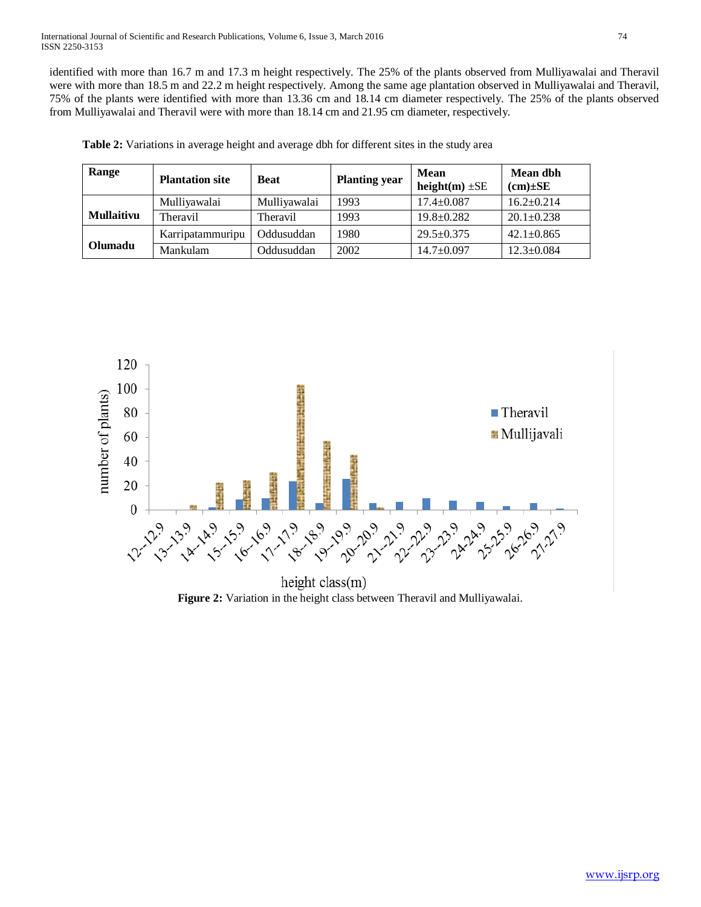identified with more than 16.7 m and 17.3 m height respectively. The 25% of the plants observed from Mulliyawalai and Theravil were with more than 18.5 m and 22.2 m height respectively. Among the same age plantation observed in Mulliyawalai and Theravil, 75% of the plants were identified with more than 13.36 cm and 18.14 cm diameter respectively. The 25% of the plants observed from Mulliyawalai and Theravil were with more than 18.14 cm and 21.95 cm diameter, respectively.

| Range             | <b>Plantation site</b> | <b>Beat</b>  | <b>Planting year</b> | Mean<br>height $(m) \pm SE$ | Mean dbh<br>$(cm)\pm SE$ |
|-------------------|------------------------|--------------|----------------------|-----------------------------|--------------------------|
|                   | Mulliyawalai           | Mulliyawalai | 1993                 | $17.4 \pm 0.087$            | $16.2 \pm 0.214$         |
| <b>Mullaitivu</b> | Theravil               | Theravil     | 1993                 | $19.8 \pm 0.282$            | $20.1 \pm 0.238$         |
|                   | Karripatammuripu       | Oddusuddan   | 1980                 | $29.5 \pm 0.375$            | $42.1 \pm 0.865$         |
| Olumadu           | Mankulam               | Oddusuddan   | 2002                 | $14.7 \pm 0.097$            | $12.3 \pm 0.084$         |

**Table 2:** Variations in average height and average dbh for different sites in the study area



height class(m) **Figure 2:** Variation in the height class between Theravil and Mulliyawalai.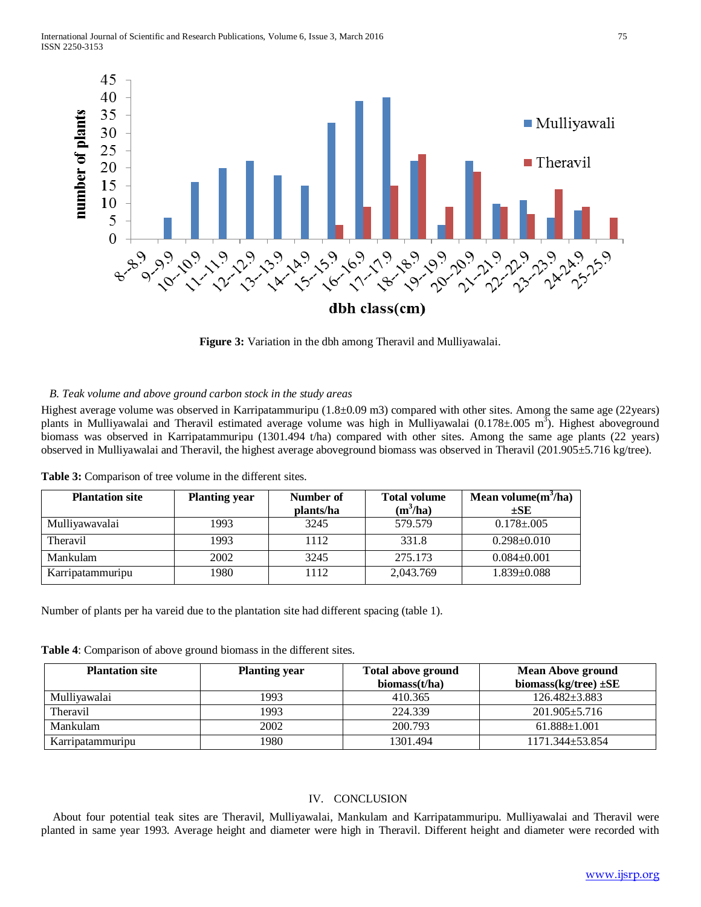

**Figure 3:** Variation in the dbh among Theravil and Mulliyawalai.

# *B. Teak volume and above ground carbon stock in the study areas*

Highest average volume was observed in Karripatammuripu (1.8±0.09 m3) compared with other sites. Among the same age (22years) plants in Mulliyawalai and Theravil estimated average volume was high in Mulliyawalai (0.178±.005 m<sup>3</sup>). Highest aboveground biomass was observed in Karripatammuripu (1301.494 t/ha) compared with other sites. Among the same age plants (22 years) observed in Mulliyawalai and Theravil, the highest average aboveground biomass was observed in Theravil (201.905±5.716 kg/tree).

| <b>Plantation site</b> | <b>Planting year</b> | Number of<br>plants/ha | <b>Total volume</b><br>$(m^3/ha)$ | Mean volume $(m^3/ha)$<br>$\pm$ SE |
|------------------------|----------------------|------------------------|-----------------------------------|------------------------------------|
| Mulliyawavalai         | 1993                 | 3245                   | 579.579                           | $0.178 \pm 0.005$                  |
| Theravil               | 1993                 | 1112                   | 331.8                             | $0.298 \pm 0.010$                  |
| Mankulam               | 2002                 | 3245                   | 275.173                           | $0.084 \pm 0.001$                  |
| Karripatammuripu       | 1980                 | 1112                   | 2,043.769                         | $1.839 \pm 0.088$                  |

**Table 3:** Comparison of tree volume in the different sites.

Number of plants per ha vareid due to the plantation site had different spacing (table 1).

**Table 4**: Comparison of above ground biomass in the different sites.

| <b>Plantation site</b> | <b>Planting year</b> | <b>Total above ground</b><br>biomass $(t/ha)$ | <b>Mean Above ground</b><br>biomass(kg/tree) $\pm$ SE |
|------------------------|----------------------|-----------------------------------------------|-------------------------------------------------------|
| Mulliyawalai           | 1993                 | 410.365                                       | $126.482 \pm 3.883$                                   |
| Theravil               | 1993                 | 224.339                                       | $201.905 + 5.716$                                     |
| Mankulam               | 2002                 | 200.793                                       | $61.888 \pm 1.001$                                    |
| Karripatammuripu       | 1980                 | 1301.494                                      | $1171.344 \pm 53.854$                                 |

# IV. CONCLUSION

About four potential teak sites are Theravil, Mulliyawalai, Mankulam and Karripatammuripu. Mulliyawalai and Theravil were planted in same year 1993. Average height and diameter were high in Theravil. Different height and diameter were recorded with